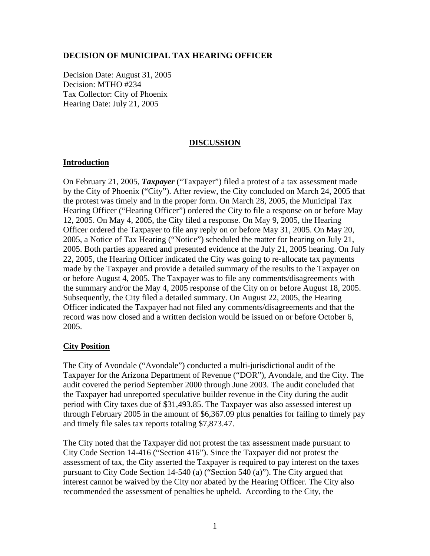### **DECISION OF MUNICIPAL TAX HEARING OFFICER**

Decision Date: August 31, 2005 Decision: MTHO #234 Tax Collector: City of Phoenix Hearing Date: July 21, 2005

# **DISCUSSION**

### **Introduction**

On February 21, 2005, *Taxpayer* ("Taxpayer") filed a protest of a tax assessment made by the City of Phoenix ("City"). After review, the City concluded on March 24, 2005 that the protest was timely and in the proper form. On March 28, 2005, the Municipal Tax Hearing Officer ("Hearing Officer") ordered the City to file a response on or before May 12, 2005. On May 4, 2005, the City filed a response. On May 9, 2005, the Hearing Officer ordered the Taxpayer to file any reply on or before May 31, 2005. On May 20, 2005, a Notice of Tax Hearing ("Notice") scheduled the matter for hearing on July 21, 2005. Both parties appeared and presented evidence at the July 21, 2005 hearing. On July 22, 2005, the Hearing Officer indicated the City was going to re-allocate tax payments made by the Taxpayer and provide a detailed summary of the results to the Taxpayer on or before August 4, 2005. The Taxpayer was to file any comments/disagreements with the summary and/or the May 4, 2005 response of the City on or before August 18, 2005. Subsequently, the City filed a detailed summary. On August 22, 2005, the Hearing Officer indicated the Taxpayer had not filed any comments/disagreements and that the record was now closed and a written decision would be issued on or before October 6, 2005.

### **City Position**

The City of Avondale ("Avondale") conducted a multi-jurisdictional audit of the Taxpayer for the Arizona Department of Revenue ("DOR"), Avondale, and the City. The audit covered the period September 2000 through June 2003. The audit concluded that the Taxpayer had unreported speculative builder revenue in the City during the audit period with City taxes due of \$31,493.85. The Taxpayer was also assessed interest up through February 2005 in the amount of \$6,367.09 plus penalties for failing to timely pay and timely file sales tax reports totaling \$7,873.47.

The City noted that the Taxpayer did not protest the tax assessment made pursuant to City Code Section 14-416 ("Section 416"). Since the Taxpayer did not protest the assessment of tax, the City asserted the Taxpayer is required to pay interest on the taxes pursuant to City Code Section 14-540 (a) ("Section 540 (a)"). The City argued that interest cannot be waived by the City nor abated by the Hearing Officer. The City also recommended the assessment of penalties be upheld. According to the City, the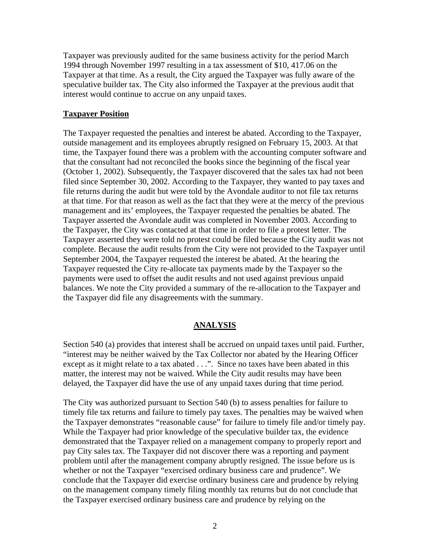Taxpayer was previously audited for the same business activity for the period March 1994 through November 1997 resulting in a tax assessment of \$10, 417.06 on the Taxpayer at that time. As a result, the City argued the Taxpayer was fully aware of the speculative builder tax. The City also informed the Taxpayer at the previous audit that interest would continue to accrue on any unpaid taxes.

### **Taxpayer Position**

The Taxpayer requested the penalties and interest be abated. According to the Taxpayer, outside management and its employees abruptly resigned on February 15, 2003. At that time, the Taxpayer found there was a problem with the accounting computer software and that the consultant had not reconciled the books since the beginning of the fiscal year (October 1, 2002). Subsequently, the Taxpayer discovered that the sales tax had not been filed since September 30, 2002. According to the Taxpayer, they wanted to pay taxes and file returns during the audit but were told by the Avondale auditor to not file tax returns at that time. For that reason as well as the fact that they were at the mercy of the previous management and its' employees, the Taxpayer requested the penalties be abated. The Taxpayer asserted the Avondale audit was completed in November 2003. According to the Taxpayer, the City was contacted at that time in order to file a protest letter. The Taxpayer asserted they were told no protest could be filed because the City audit was not complete. Because the audit results from the City were not provided to the Taxpayer until September 2004, the Taxpayer requested the interest be abated. At the hearing the Taxpayer requested the City re-allocate tax payments made by the Taxpayer so the payments were used to offset the audit results and not used against previous unpaid balances. We note the City provided a summary of the re-allocation to the Taxpayer and the Taxpayer did file any disagreements with the summary.

#### **ANALYSIS**

Section 540 (a) provides that interest shall be accrued on unpaid taxes until paid. Further, "interest may be neither waived by the Tax Collector nor abated by the Hearing Officer except as it might relate to a tax abated . . .". Since no taxes have been abated in this matter, the interest may not be waived. While the City audit results may have been delayed, the Taxpayer did have the use of any unpaid taxes during that time period.

The City was authorized pursuant to Section 540 (b) to assess penalties for failure to timely file tax returns and failure to timely pay taxes. The penalties may be waived when the Taxpayer demonstrates "reasonable cause" for failure to timely file and/or timely pay. While the Taxpayer had prior knowledge of the speculative builder tax, the evidence demonstrated that the Taxpayer relied on a management company to properly report and pay City sales tax. The Taxpayer did not discover there was a reporting and payment problem until after the management company abruptly resigned. The issue before us is whether or not the Taxpayer "exercised ordinary business care and prudence". We conclude that the Taxpayer did exercise ordinary business care and prudence by relying on the management company timely filing monthly tax returns but do not conclude that the Taxpayer exercised ordinary business care and prudence by relying on the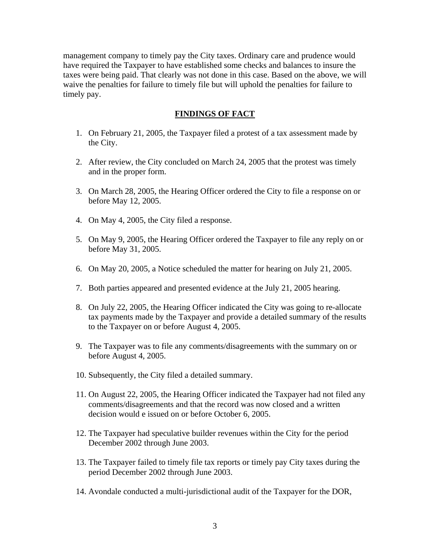management company to timely pay the City taxes. Ordinary care and prudence would have required the Taxpayer to have established some checks and balances to insure the taxes were being paid. That clearly was not done in this case. Based on the above, we will waive the penalties for failure to timely file but will uphold the penalties for failure to timely pay.

# **FINDINGS OF FACT**

- 1. On February 21, 2005, the Taxpayer filed a protest of a tax assessment made by the City.
- 2. After review, the City concluded on March 24, 2005 that the protest was timely and in the proper form.
- 3. On March 28, 2005, the Hearing Officer ordered the City to file a response on or before May 12, 2005.
- 4. On May 4, 2005, the City filed a response.
- 5. On May 9, 2005, the Hearing Officer ordered the Taxpayer to file any reply on or before May 31, 2005.
- 6. On May 20, 2005, a Notice scheduled the matter for hearing on July 21, 2005.
- 7. Both parties appeared and presented evidence at the July 21, 2005 hearing.
- 8. On July 22, 2005, the Hearing Officer indicated the City was going to re-allocate tax payments made by the Taxpayer and provide a detailed summary of the results to the Taxpayer on or before August 4, 2005.
- 9. The Taxpayer was to file any comments/disagreements with the summary on or before August 4, 2005.
- 10. Subsequently, the City filed a detailed summary.
- 11. On August 22, 2005, the Hearing Officer indicated the Taxpayer had not filed any comments/disagreements and that the record was now closed and a written decision would e issued on or before October 6, 2005.
- 12. The Taxpayer had speculative builder revenues within the City for the period December 2002 through June 2003.
- 13. The Taxpayer failed to timely file tax reports or timely pay City taxes during the period December 2002 through June 2003.
- 14. Avondale conducted a multi-jurisdictional audit of the Taxpayer for the DOR,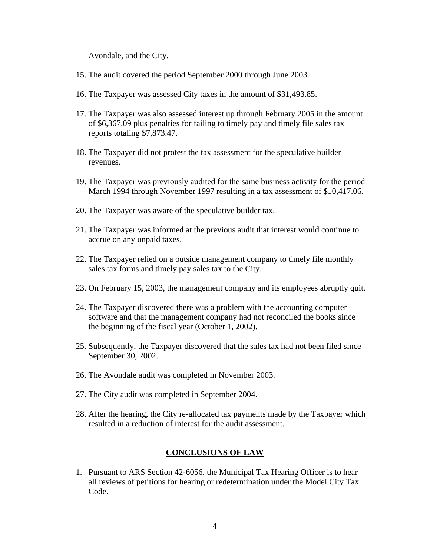Avondale, and the City.

- 15. The audit covered the period September 2000 through June 2003.
- 16. The Taxpayer was assessed City taxes in the amount of \$31,493.85.
- 17. The Taxpayer was also assessed interest up through February 2005 in the amount of \$6,367.09 plus penalties for failing to timely pay and timely file sales tax reports totaling \$7,873.47.
- 18. The Taxpayer did not protest the tax assessment for the speculative builder revenues.
- 19. The Taxpayer was previously audited for the same business activity for the period March 1994 through November 1997 resulting in a tax assessment of \$10,417.06.
- 20. The Taxpayer was aware of the speculative builder tax.
- 21. The Taxpayer was informed at the previous audit that interest would continue to accrue on any unpaid taxes.
- 22. The Taxpayer relied on a outside management company to timely file monthly sales tax forms and timely pay sales tax to the City.
- 23. On February 15, 2003, the management company and its employees abruptly quit.
- 24. The Taxpayer discovered there was a problem with the accounting computer software and that the management company had not reconciled the books since the beginning of the fiscal year (October 1, 2002).
- 25. Subsequently, the Taxpayer discovered that the sales tax had not been filed since September 30, 2002.
- 26. The Avondale audit was completed in November 2003.
- 27. The City audit was completed in September 2004.
- 28. After the hearing, the City re-allocated tax payments made by the Taxpayer which resulted in a reduction of interest for the audit assessment.

#### **CONCLUSIONS OF LAW**

1. Pursuant to ARS Section 42-6056, the Municipal Tax Hearing Officer is to hear all reviews of petitions for hearing or redetermination under the Model City Tax Code.